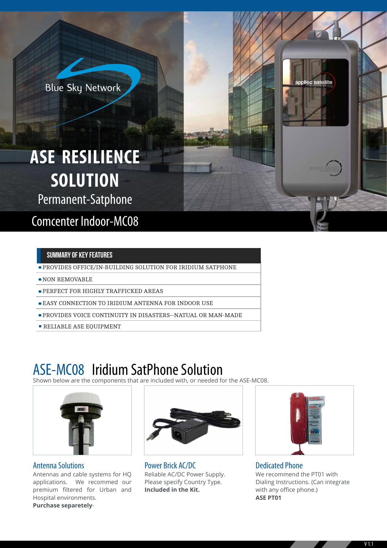**Blue Sky Network** 

# **ASE RESILIENCE SOLUTION**

Permanent-Satphone

Comcenter Indoor-MC08

#### SUMMARY OF KEY FEATURES

- PROVIDES OFFICE/IN-BUILDING SOLUTION FOR IRIDIUM SATPHONE
- NON REMOVABLE
- **PERFECT FOR HIGHLY TRAFFICKED AREAS**
- **EASY CONNECTION TO IRIDIUM ANTENNA FOR INDOOR USE**
- PROVIDES VOICE CONTINUITY IN DISASTERS--NATUAL OR MAN-MADE
- **RELIABLE ASE EQUIPMENT**

### ASE-MC08 Iridium SatPhone Solution

Shown below are the components that are included with, or needed for the ASE-MC08.



Antenna Solutions

Antennas and cable systems for HQ applications. We recommed our premium filtered for Urban and Hospital environments. **Purchase separetely**-



Power Brick AC/DC Reliable AC/DC Power Supply. Please specify Country Type. **Included in the Kit.**



Dedicated Phone We recommend the PT01 with Dialing Instructions. (Can integrate with any office phone.) **ASE PT01**



applied satellite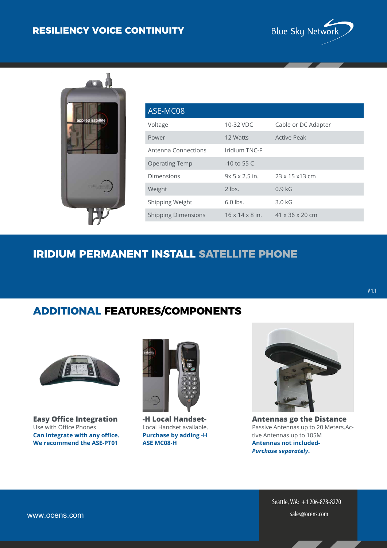#### **RESILIENCY VOICE CONTINUITY**





| ASE-MC08                   |                             |                             |
|----------------------------|-----------------------------|-----------------------------|
| Voltage                    | 10-32 VDC                   | Cable or DC Adapter         |
| Power                      | 12 Watts                    | <b>Active Peak</b>          |
| Antenna Connections        | Iridium TNC-F               |                             |
| <b>Operating Temp</b>      | $-10$ to 55 C               |                             |
| Dimensions                 | $9x$ 5 $x$ 2.5 in.          | $23 \times 15 \times 13$ cm |
| Weight                     | $2$ lbs.                    | 0.9 <sub>kG</sub>           |
| Shipping Weight            | $6.0$ lbs.                  | $3.0$ kG                    |
| <b>Shipping Dimensions</b> | $16 \times 14 \times 8$ in. | $41 \times 36 \times 20$ cm |

#### **IRIDIUM PERMANENT INSTALL SATELLITE PHONE**



**Easy Office Integration** Use with Office Phones **Can integrate with any office. We recommend the ASE-PT01**



**-H Local Handset-**Local Handset available. **Purchase by adding -H ASE MC08-H**



V 1.1

**Antennas go the Distance** Passive Antennas up to 20 Meters.Active Antennas up to 105M **Antennas not included-***Purchase separately***.** 

Seattle, WA: +1206-878-8270 www.ocens.com sales@ocens.com sales@ocens.com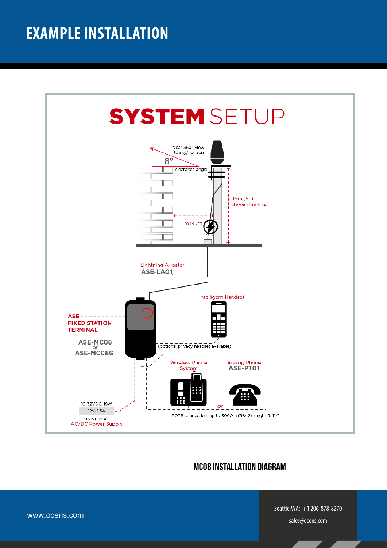### **EXAMPLE INSTALLATION**



#### MC08 Installation Diagram

www.ocens.com

Seattle,WA: +1206-878-8270 sales@ocens.com